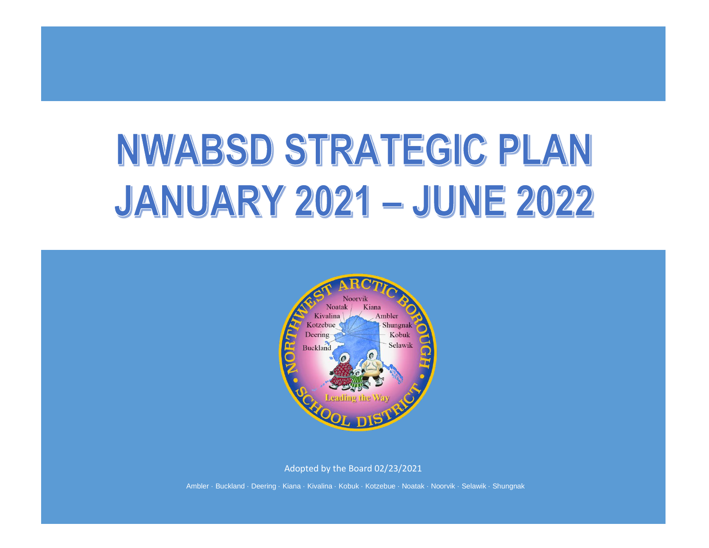# NWABSD STRATEGIC PLAN **JANUARY 2021 - JUNE 2022**



Adopted by the Board 02/23/2021

Ambler · Buckland · Deering · Kiana · Kivalina · Kobuk · Kotzebue · Noatak · Noorvik · Selawik · Shungnak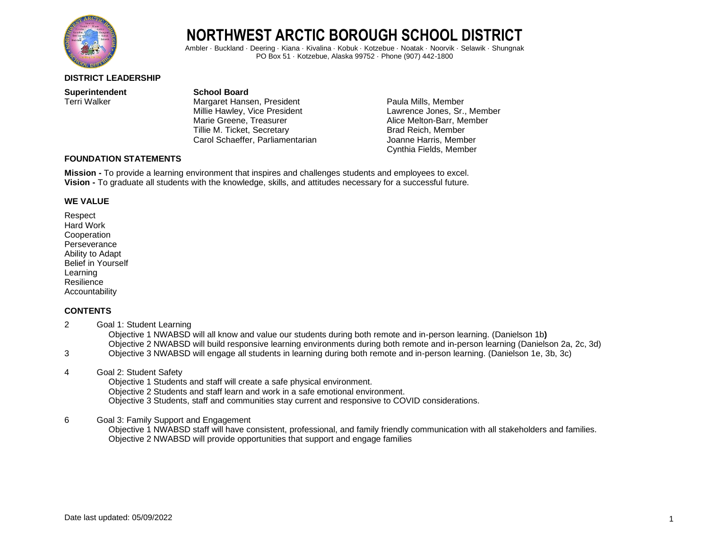

Ambler · Buckland · Deering · Kiana · Kivalina · Kobuk · Kotzebue · Noatak · Noorvik · Selawik · Shungnak PO Box 51 · Kotzebue, Alaska 99752 · Phone (907) 442-1800

#### **DISTRICT LEADERSHIP**

**Superintendent**<br> **School Board**<br> **School Board**<br> **School Board**<br> **School Board** 

Margaret Hansen, President Paula Mills, Member Millie Hawley, Vice President **Lawrence Jones**, Sr., Member Marie Greene, Treasurer and Alice Melton-Barr, Member<br>
Tillie M. Ticket, Secretary **Alice Mention-Barry Brad Reich**. Member Tillie M. Ticket, Secretary Carol Schaeffer, Parliamentarian Joanne Harris, Member

Cynthia Fields, Member

#### **FOUNDATION STATEMENTS**

**Mission -** To provide a learning environment that inspires and challenges students and employees to excel. **Vision -** To graduate all students with the knowledge, skills, and attitudes necessary for a successful future.

#### **WE VALUE**

Respect Hard Work **Cooperation Perseverance** Ability to Adapt Belief in Yourself Learning Resilience Accountability

#### **CONTENTS**

- 2 Goal 1: Student Learning Objective 1 NWABSD will all know and value our students during both remote and in-person learning. (Danielson 1b**)** Objective 2 NWABSD will build responsive learning environments during both remote and in-person learning (Danielson 2a, 2c, 3d) 3 Objective 3 NWABSD will engage all students in learning during both remote and in-person learning. (Danielson 1e, 3b, 3c)
- 4 Goal 2: Student Safety

 Objective 1 Students and staff will create a safe physical environment. Objective 2 Students and staff learn and work in a safe emotional environment.

Objective 3 Students, staff and communities stay current and responsive to COVID considerations.

#### 6 Goal 3: Family Support and Engagement

 Objective 1 NWABSD staff will have consistent, professional, and family friendly communication with all stakeholders and families. Objective 2 NWABSD will provide opportunities that support and engage families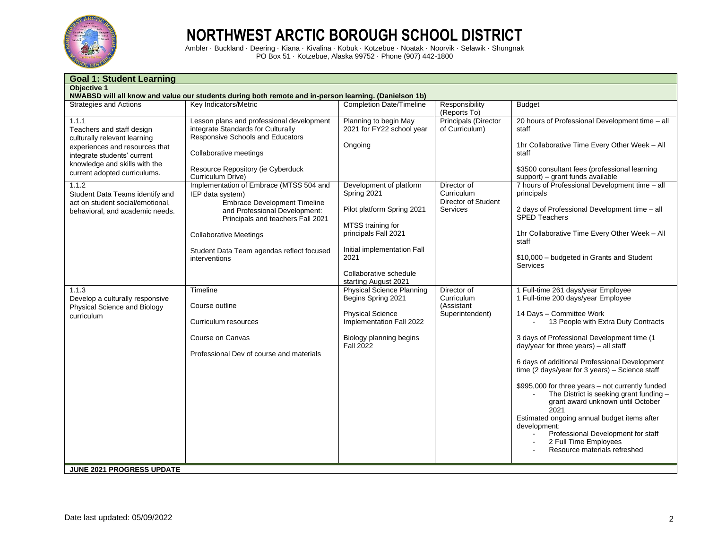

| <b>Goal 1: Student Learning</b>                                                                                                                                                                      |                                                                                                                                                                                                                                                                                              |                                                                                                                                                                                                            |                                                                     |                                                                                                                                                                                                                                                                                                                                                                                                                                                                                                                                                                                                                                                 |  |  |  |
|------------------------------------------------------------------------------------------------------------------------------------------------------------------------------------------------------|----------------------------------------------------------------------------------------------------------------------------------------------------------------------------------------------------------------------------------------------------------------------------------------------|------------------------------------------------------------------------------------------------------------------------------------------------------------------------------------------------------------|---------------------------------------------------------------------|-------------------------------------------------------------------------------------------------------------------------------------------------------------------------------------------------------------------------------------------------------------------------------------------------------------------------------------------------------------------------------------------------------------------------------------------------------------------------------------------------------------------------------------------------------------------------------------------------------------------------------------------------|--|--|--|
| <b>Objective 1</b>                                                                                                                                                                                   | NWABSD will all know and value our students during both remote and in-person learning. (Danielson 1b)                                                                                                                                                                                        |                                                                                                                                                                                                            |                                                                     |                                                                                                                                                                                                                                                                                                                                                                                                                                                                                                                                                                                                                                                 |  |  |  |
| <b>Strategies and Actions</b>                                                                                                                                                                        | Key Indicators/Metric                                                                                                                                                                                                                                                                        | <b>Completion Date/Timeline</b>                                                                                                                                                                            | Responsibility<br>(Reports To)                                      | <b>Budget</b>                                                                                                                                                                                                                                                                                                                                                                                                                                                                                                                                                                                                                                   |  |  |  |
| 1.1.1<br>Teachers and staff design<br>culturally relevant learning<br>experiences and resources that<br>integrate students' current<br>knowledge and skills with the<br>current adopted curriculums. | Lesson plans and professional development<br>integrate Standards for Culturally<br>Responsive Schools and Educators<br>Collaborative meetings<br>Resource Repository (ie Cyberduck                                                                                                           | Planning to begin May<br>2021 for FY22 school year<br>Ongoing                                                                                                                                              | <b>Principals (Director</b><br>of Curriculum)                       | 20 hours of Professional Development time - all<br>staff<br>1hr Collaborative Time Every Other Week - All<br>staff<br>\$3500 consultant fees (professional learning                                                                                                                                                                                                                                                                                                                                                                                                                                                                             |  |  |  |
| 1.1.2<br>Student Data Teams identify and<br>act on student social/emotional.<br>behavioral, and academic needs.                                                                                      | Curriculum Drive)<br>Implementation of Embrace (MTSS 504 and<br>IEP data system)<br><b>Embrace Development Timeline</b><br>and Professional Development:<br>Principals and teachers Fall 2021<br><b>Collaborative Meetings</b><br>Student Data Team agendas reflect focused<br>interventions | Development of platform<br>Spring 2021<br>Pilot platform Spring 2021<br>MTSS training for<br>principals Fall 2021<br>Initial implementation Fall<br>2021<br>Collaborative schedule<br>starting August 2021 | Director of<br>Curriculum<br>Director of Student<br><b>Services</b> | support) – grant funds available<br>7 hours of Professional Development time - all<br>principals<br>2 days of Professional Development time - all<br><b>SPED Teachers</b><br>1hr Collaborative Time Every Other Week - All<br>staff<br>\$10,000 - budgeted in Grants and Student<br>Services                                                                                                                                                                                                                                                                                                                                                    |  |  |  |
| 1.1.3<br>Develop a culturally responsive<br>Physical Science and Biology<br>curriculum                                                                                                               | Timeline<br>Course outline<br>Curriculum resources<br>Course on Canvas<br>Professional Dev of course and materials                                                                                                                                                                           | <b>Physical Science Planning</b><br>Begins Spring 2021<br><b>Physical Science</b><br>Implementation Fall 2022<br>Biology planning begins<br><b>Fall 2022</b>                                               | Director of<br>Curriculum<br>(Assistant<br>Superintendent)          | 1 Full-time 261 days/year Employee<br>1 Full-time 200 days/year Employee<br>14 Days - Committee Work<br>13 People with Extra Duty Contracts<br>3 days of Professional Development time (1<br>day/year for three years) - all staff<br>6 days of additional Professional Development<br>time (2 days/year for 3 years) - Science staff<br>\$995,000 for three years - not currently funded<br>The District is seeking grant funding -<br>grant award unknown until October<br>2021<br>Estimated ongoing annual budget items after<br>development:<br>Professional Development for staff<br>2 Full Time Employees<br>Resource materials refreshed |  |  |  |
| <b>JUNE 2021 PROGRESS UPDATE</b>                                                                                                                                                                     |                                                                                                                                                                                                                                                                                              |                                                                                                                                                                                                            |                                                                     |                                                                                                                                                                                                                                                                                                                                                                                                                                                                                                                                                                                                                                                 |  |  |  |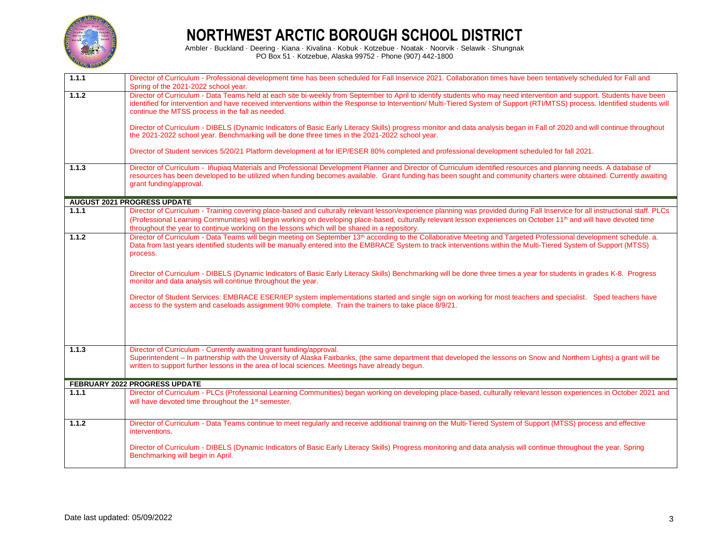

| 1.1.1 | Director of Curriculum - Professional development time has been scheduled for Fall Inservice 2021. Collaboration times have been tentatively scheduled for Fall and<br>Spring of the 2021-2022 school year.                                                                                                                                                                                                                                                       |
|-------|-------------------------------------------------------------------------------------------------------------------------------------------------------------------------------------------------------------------------------------------------------------------------------------------------------------------------------------------------------------------------------------------------------------------------------------------------------------------|
| 1.1.2 | Director of Curriculum - Data Teams held at each site bi-weekly from September to April to identify students who may need intervention and support. Students have been<br>identified for intervention and have received interventions within the Response to Intervention/ Multi-Tiered System of Support (RTI/MTSS) process. Identified students will<br>continue the MTSS process in the fall as needed.                                                        |
|       | Director of Curriculum - DIBELS (Dynamic Indicators of Basic Early Literacy Skills) progress monitor and data analysis began in Fall of 2020 and will continue throughout<br>the 2021-2022 school year. Benchmarking will be done three times in the 2021-2022 school year.                                                                                                                                                                                       |
|       | Director of Student services 5/20/21 Platform development at for IEP/ESER 80% completed and professional development scheduled for fall 2021.                                                                                                                                                                                                                                                                                                                     |
| 1.1.3 | Director of Curriculum - Iñupiaq Materials and Professional Development Planner and Director of Curriculum identified resources and planning needs. A database of<br>resources has been developed to be utilized when funding becomes available. Grant funding has been sought and community charters were obtained. Currently awaiting<br>grant funding/approval.                                                                                                |
|       | <b>AUGUST 2021 PROGRESS UPDATE</b>                                                                                                                                                                                                                                                                                                                                                                                                                                |
| 1.1.1 | Director of Curriculum - Training covering place-based and culturally relevant lesson/experience planning was provided during Fall Inservice for all instructional staff. PLCs<br>(Professional Learning Communities) will begin working on developing place-based, culturally relevant lesson experiences on October 11 <sup>th</sup> and will have devoted time<br>throughout the year to continue working on the lessons which will be shared in a repository. |
| 1.1.2 | Director of Curriculum - Data Teams will begin meeting on September 13 <sup>th</sup> according to the Collaborative Meeting and Targeted Professional development schedule. a.<br>Data from last years identified students will be manually entered into the EMBRACE System to track interventions within the Multi-Tiered System of Support (MTSS)<br>process.                                                                                                   |
|       | Director of Curriculum - DIBELS (Dynamic Indicators of Basic Early Literacy Skills) Benchmarking will be done three times a year for students in grades K-8. Progress<br>monitor and data analysis will continue throughout the year.                                                                                                                                                                                                                             |
|       | Director of Student Services: EMBRACE ESER/IEP system implementations started and single sign on working for most teachers and specialist. Sped teachers have<br>access to the system and caseloads assignment 90% complete. Train the trainers to take place 8/9/21.                                                                                                                                                                                             |
|       |                                                                                                                                                                                                                                                                                                                                                                                                                                                                   |
| 1.1.3 | Director of Curriculum - Currently awaiting grant funding/approval.<br>Superintendent – In partnership with the University of Alaska Fairbanks, (the same department that developed the lessons on Snow and Northern Lights) a grant will be<br>written to support further lessons in the area of local sciences. Meetings have already begun.                                                                                                                    |
|       | FEBRUARY 2022 PROGRESS UPDATE                                                                                                                                                                                                                                                                                                                                                                                                                                     |
| 1.1.1 | Director of Curriculum - PLCs (Professional Learning Communities) began working on developing place-based, culturally relevant lesson experiences in October 2021 and<br>will have devoted time throughout the 1 <sup>st</sup> semester.                                                                                                                                                                                                                          |
| 1.1.2 | Director of Curriculum - Data Teams continue to meet regularly and receive additional training on the Multi-Tiered System of Support (MTSS) process and effective<br>interventions.                                                                                                                                                                                                                                                                               |
|       | Director of Curriculum - DIBELS (Dynamic Indicators of Basic Early Literacy Skills) Progress monitoring and data analysis will continue throughout the year. Spring<br>Benchmarking will begin in April.                                                                                                                                                                                                                                                          |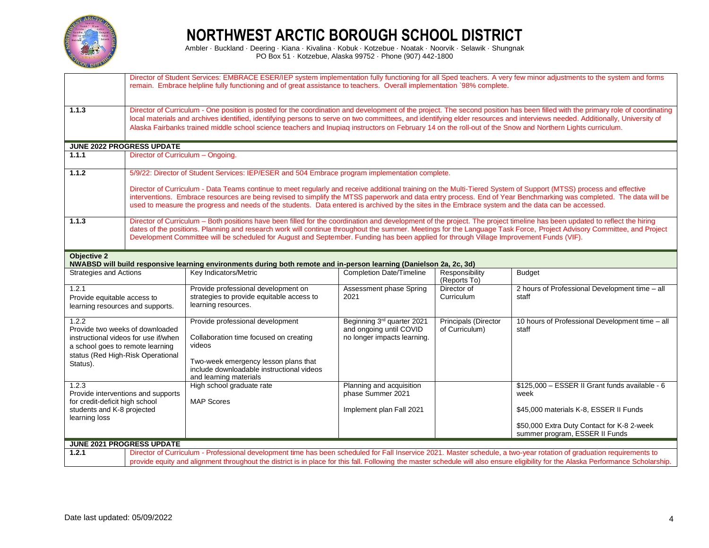

|                                                                                                                                                                       | Director of Student Services: EMBRACE ESER/IEP system implementation fully functioning for all Sped teachers. A very few minor adjustments to the system and forms<br>remain. Embrace helpline fully functioning and of great assistance to teachers. Overall implementation `98% complete.                                                                                                                                                                                                                                 |                                                                                                                                                                                                                                                                                                                        |                                                                                      |                                        |                                                                                                                                                                    |  |  |
|-----------------------------------------------------------------------------------------------------------------------------------------------------------------------|-----------------------------------------------------------------------------------------------------------------------------------------------------------------------------------------------------------------------------------------------------------------------------------------------------------------------------------------------------------------------------------------------------------------------------------------------------------------------------------------------------------------------------|------------------------------------------------------------------------------------------------------------------------------------------------------------------------------------------------------------------------------------------------------------------------------------------------------------------------|--------------------------------------------------------------------------------------|----------------------------------------|--------------------------------------------------------------------------------------------------------------------------------------------------------------------|--|--|
| 1.1.3                                                                                                                                                                 | Director of Curriculum - One position is posted for the coordination and development of the project. The second position has been filled with the primary role of coordinating<br>local materials and archives identified, identifying persons to serve on two committees, and identifying elder resources and interviews needed. Additionally, University of<br>Alaska Fairbanks trained middle school science teachers and Inupiaq instructors on February 14 on the roll-out of the Snow and Northern Lights curriculum. |                                                                                                                                                                                                                                                                                                                        |                                                                                      |                                        |                                                                                                                                                                    |  |  |
|                                                                                                                                                                       | JUNE 2022 PROGRESS UPDATE                                                                                                                                                                                                                                                                                                                                                                                                                                                                                                   |                                                                                                                                                                                                                                                                                                                        |                                                                                      |                                        |                                                                                                                                                                    |  |  |
| 1.1.1                                                                                                                                                                 | Director of Curriculum - Ongoing.                                                                                                                                                                                                                                                                                                                                                                                                                                                                                           |                                                                                                                                                                                                                                                                                                                        |                                                                                      |                                        |                                                                                                                                                                    |  |  |
| 1.1.2                                                                                                                                                                 |                                                                                                                                                                                                                                                                                                                                                                                                                                                                                                                             | 5/9/22: Director of Student Services: IEP/ESER and 504 Embrace program implementation complete.                                                                                                                                                                                                                        |                                                                                      |                                        |                                                                                                                                                                    |  |  |
|                                                                                                                                                                       |                                                                                                                                                                                                                                                                                                                                                                                                                                                                                                                             | Director of Curriculum - Data Teams continue to meet regularly and receive additional training on the Multi-Tiered System of Support (MTSS) process and effective<br>used to measure the progress and needs of the students. Data entered is archived by the sites in the Embrace system and the data can be accessed. |                                                                                      |                                        | interventions. Embrace resources are being revised to simplify the MTSS paperwork and data entry process. End of Year Benchmarking was completed. The data will be |  |  |
| 1.1.3                                                                                                                                                                 | Director of Curriculum – Both positions have been filled for the coordination and development of the project. The project timeline has been updated to reflect the hiring<br>dates of the positions. Planning and research work will continue throughout the summer. Meetings for the Language Task Force, Project Advisory Committee, and Project<br>Development Committee will be scheduled for August and September. Funding has been applied for through Village Improvement Funds (VIF).                               |                                                                                                                                                                                                                                                                                                                        |                                                                                      |                                        |                                                                                                                                                                    |  |  |
| <b>Objective 2</b>                                                                                                                                                    |                                                                                                                                                                                                                                                                                                                                                                                                                                                                                                                             | NWABSD will build responsive learning environments during both remote and in-person learning (Danielson 2a, 2c, 3d)                                                                                                                                                                                                    |                                                                                      |                                        |                                                                                                                                                                    |  |  |
| <b>Strategies and Actions</b>                                                                                                                                         |                                                                                                                                                                                                                                                                                                                                                                                                                                                                                                                             | Key Indicators/Metric                                                                                                                                                                                                                                                                                                  | <b>Completion Date/Timeline</b>                                                      | Responsibility<br>(Reports To)         | <b>Budget</b>                                                                                                                                                      |  |  |
| 1.2.1<br>Provide equitable access to<br>learning resources and supports.                                                                                              |                                                                                                                                                                                                                                                                                                                                                                                                                                                                                                                             | Provide professional development on<br>strategies to provide equitable access to<br>learning resources.                                                                                                                                                                                                                | Assessment phase Spring<br>2021                                                      | Director of<br>Curriculum              | 2 hours of Professional Development time - all<br>staff                                                                                                            |  |  |
| 1.2.2<br>Provide two weeks of downloaded<br>instructional videos for use if/when<br>a school goes to remote learning<br>status (Red High-Risk Operational<br>Status). |                                                                                                                                                                                                                                                                                                                                                                                                                                                                                                                             | Provide professional development<br>Collaboration time focused on creating<br>videos<br>Two-week emergency lesson plans that<br>include downloadable instructional videos<br>and learning materials                                                                                                                    | Beginning 3rd quarter 2021<br>and ongoing until COVID<br>no longer impacts learning. | Principals (Director<br>of Curriculum) | 10 hours of Professional Development time - all<br>staff                                                                                                           |  |  |
| 1.2.3<br>for credit-deficit high school                                                                                                                               | Provide interventions and supports                                                                                                                                                                                                                                                                                                                                                                                                                                                                                          | High school graduate rate<br><b>MAP Scores</b>                                                                                                                                                                                                                                                                         | Planning and acquisition<br>phase Summer 2021                                        |                                        | \$125,000 - ESSER II Grant funds available - 6<br>week                                                                                                             |  |  |
| students and K-8 projected                                                                                                                                            |                                                                                                                                                                                                                                                                                                                                                                                                                                                                                                                             |                                                                                                                                                                                                                                                                                                                        | Implement plan Fall 2021                                                             |                                        | \$45,000 materials K-8, ESSER II Funds                                                                                                                             |  |  |
|                                                                                                                                                                       | learning loss<br>\$50,000 Extra Duty Contact for K-8 2-week<br>summer program, ESSER II Funds                                                                                                                                                                                                                                                                                                                                                                                                                               |                                                                                                                                                                                                                                                                                                                        |                                                                                      |                                        |                                                                                                                                                                    |  |  |
|                                                                                                                                                                       | JUNE 2021 PROGRESS UPDATE                                                                                                                                                                                                                                                                                                                                                                                                                                                                                                   |                                                                                                                                                                                                                                                                                                                        |                                                                                      |                                        |                                                                                                                                                                    |  |  |
| 1.2.1                                                                                                                                                                 | Director of Curriculum - Professional development time has been scheduled for Fall Inservice 2021. Master schedule, a two-year rotation of graduation requirements to<br>provide equity and alignment throughout the district is in place for this fall. Following the master schedule will also ensure eligibility for the Alaska Performance Scholarship.                                                                                                                                                                 |                                                                                                                                                                                                                                                                                                                        |                                                                                      |                                        |                                                                                                                                                                    |  |  |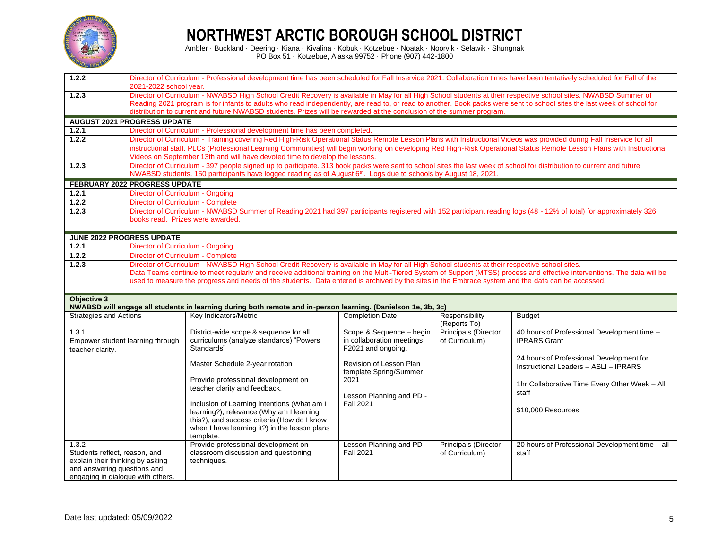

| 1.2.2                                                            |                                                                                                                                                                                                                                                                                                                                                                                                                                                                    | Director of Curriculum - Professional development time has been scheduled for Fall Inservice 2021. Collaboration times have been tentatively scheduled for Fall of the                                                                                                                   |                                |                                |                                                                                                                                                                          |  |
|------------------------------------------------------------------|--------------------------------------------------------------------------------------------------------------------------------------------------------------------------------------------------------------------------------------------------------------------------------------------------------------------------------------------------------------------------------------------------------------------------------------------------------------------|------------------------------------------------------------------------------------------------------------------------------------------------------------------------------------------------------------------------------------------------------------------------------------------|--------------------------------|--------------------------------|--------------------------------------------------------------------------------------------------------------------------------------------------------------------------|--|
|                                                                  | 2021-2022 school year.                                                                                                                                                                                                                                                                                                                                                                                                                                             |                                                                                                                                                                                                                                                                                          |                                |                                |                                                                                                                                                                          |  |
| 1.2.3                                                            | Director of Curriculum - NWABSD High School Credit Recovery is available in May for all High School students at their respective school sites. NWABSD Summer of<br>Reading 2021 program is for infants to adults who read independently, are read to, or read to another. Book packs were sent to school sites the last week of school for<br>distribution to current and future NWABSD students. Prizes will be rewarded at the conclusion of the summer program. |                                                                                                                                                                                                                                                                                          |                                |                                |                                                                                                                                                                          |  |
|                                                                  | <b>AUGUST 2021 PROGRESS UPDATE</b>                                                                                                                                                                                                                                                                                                                                                                                                                                 |                                                                                                                                                                                                                                                                                          |                                |                                |                                                                                                                                                                          |  |
| 1.2.1                                                            |                                                                                                                                                                                                                                                                                                                                                                                                                                                                    | Director of Curriculum - Professional development time has been completed.                                                                                                                                                                                                               |                                |                                |                                                                                                                                                                          |  |
| 1.2.2                                                            |                                                                                                                                                                                                                                                                                                                                                                                                                                                                    | Director of Curriculum - Training covering Red High-Risk Operational Status Remote Lesson Plans with Instructional Videos was provided during Fall Inservice for all                                                                                                                     |                                |                                |                                                                                                                                                                          |  |
|                                                                  |                                                                                                                                                                                                                                                                                                                                                                                                                                                                    |                                                                                                                                                                                                                                                                                          |                                |                                | instructional staff. PLCs (Professional Learning Communities) will begin working on developing Red High-Risk Operational Status Remote Lesson Plans with Instructional   |  |
|                                                                  |                                                                                                                                                                                                                                                                                                                                                                                                                                                                    | Videos on September 13th and will have devoted time to develop the lessons.                                                                                                                                                                                                              |                                |                                |                                                                                                                                                                          |  |
| 1.2.3                                                            |                                                                                                                                                                                                                                                                                                                                                                                                                                                                    | Director of Curriculum - 397 people signed up to participate. 313 book packs were sent to school sites the last week of school for distribution to current and future<br>NWABSD students. 150 participants have logged reading as of August 6th. Logs due to schools by August 18, 2021. |                                |                                |                                                                                                                                                                          |  |
|                                                                  | <b>FEBRUARY 2022 PROGRESS UPDATE</b>                                                                                                                                                                                                                                                                                                                                                                                                                               |                                                                                                                                                                                                                                                                                          |                                |                                |                                                                                                                                                                          |  |
| 1.2.1                                                            | Director of Curriculum - Ongoing                                                                                                                                                                                                                                                                                                                                                                                                                                   |                                                                                                                                                                                                                                                                                          |                                |                                |                                                                                                                                                                          |  |
| 1.2.2                                                            | Director of Curriculum - Complete                                                                                                                                                                                                                                                                                                                                                                                                                                  |                                                                                                                                                                                                                                                                                          |                                |                                |                                                                                                                                                                          |  |
| 1.2.3                                                            |                                                                                                                                                                                                                                                                                                                                                                                                                                                                    | Director of Curriculum - NWABSD Summer of Reading 2021 had 397 participants registered with 152 participant reading logs (48 - 12% of total) for approximately 326                                                                                                                       |                                |                                |                                                                                                                                                                          |  |
|                                                                  | books read. Prizes were awarded.                                                                                                                                                                                                                                                                                                                                                                                                                                   |                                                                                                                                                                                                                                                                                          |                                |                                |                                                                                                                                                                          |  |
|                                                                  | <b>JUNE 2022 PROGRESS UPDATE</b>                                                                                                                                                                                                                                                                                                                                                                                                                                   |                                                                                                                                                                                                                                                                                          |                                |                                |                                                                                                                                                                          |  |
| 1.2.1                                                            | Director of Curriculum - Ongoing                                                                                                                                                                                                                                                                                                                                                                                                                                   |                                                                                                                                                                                                                                                                                          |                                |                                |                                                                                                                                                                          |  |
| 1.2.2                                                            | Director of Curriculum - Complete                                                                                                                                                                                                                                                                                                                                                                                                                                  |                                                                                                                                                                                                                                                                                          |                                |                                |                                                                                                                                                                          |  |
| 1.2.3                                                            |                                                                                                                                                                                                                                                                                                                                                                                                                                                                    | Director of Curriculum - NWABSD High School Credit Recovery is available in May for all High School students at their respective school sites.                                                                                                                                           |                                |                                |                                                                                                                                                                          |  |
|                                                                  |                                                                                                                                                                                                                                                                                                                                                                                                                                                                    |                                                                                                                                                                                                                                                                                          |                                |                                | Data Teams continue to meet regularly and receive additional training on the Multi-Tiered System of Support (MTSS) process and effective interventions. The data will be |  |
|                                                                  |                                                                                                                                                                                                                                                                                                                                                                                                                                                                    | used to measure the progress and needs of the students. Data entered is archived by the sites in the Embrace system and the data can be accessed.                                                                                                                                        |                                |                                |                                                                                                                                                                          |  |
|                                                                  |                                                                                                                                                                                                                                                                                                                                                                                                                                                                    |                                                                                                                                                                                                                                                                                          |                                |                                |                                                                                                                                                                          |  |
| Objective 3                                                      |                                                                                                                                                                                                                                                                                                                                                                                                                                                                    |                                                                                                                                                                                                                                                                                          |                                |                                |                                                                                                                                                                          |  |
|                                                                  |                                                                                                                                                                                                                                                                                                                                                                                                                                                                    | NWABSD will engage all students in learning during both remote and in-person learning. (Danielson 1e, 3b, 3c)                                                                                                                                                                            |                                |                                |                                                                                                                                                                          |  |
| <b>Strategies and Actions</b>                                    |                                                                                                                                                                                                                                                                                                                                                                                                                                                                    | Key Indicators/Metric                                                                                                                                                                                                                                                                    | <b>Completion Date</b>         | Responsibility<br>(Reports To) | <b>Budget</b>                                                                                                                                                            |  |
| 1.3.1                                                            |                                                                                                                                                                                                                                                                                                                                                                                                                                                                    | District-wide scope & sequence for all                                                                                                                                                                                                                                                   | Scope & Sequence - begin       | <b>Principals (Director</b>    | 40 hours of Professional Development time -                                                                                                                              |  |
| Empower student learning through                                 |                                                                                                                                                                                                                                                                                                                                                                                                                                                                    | curriculums (analyze standards) "Powers                                                                                                                                                                                                                                                  | in collaboration meetings      | of Curriculum)                 | <b>IPRARS Grant</b>                                                                                                                                                      |  |
| teacher clarity.                                                 |                                                                                                                                                                                                                                                                                                                                                                                                                                                                    | Standards"                                                                                                                                                                                                                                                                               | F2021 and ongoing.             |                                |                                                                                                                                                                          |  |
|                                                                  |                                                                                                                                                                                                                                                                                                                                                                                                                                                                    |                                                                                                                                                                                                                                                                                          |                                |                                | 24 hours of Professional Development for                                                                                                                                 |  |
|                                                                  |                                                                                                                                                                                                                                                                                                                                                                                                                                                                    | Master Schedule 2-year rotation                                                                                                                                                                                                                                                          | Revision of Lesson Plan        |                                | Instructional Leaders - ASLI - IPRARS                                                                                                                                    |  |
|                                                                  |                                                                                                                                                                                                                                                                                                                                                                                                                                                                    | Provide professional development on                                                                                                                                                                                                                                                      | template Spring/Summer<br>2021 |                                |                                                                                                                                                                          |  |
|                                                                  |                                                                                                                                                                                                                                                                                                                                                                                                                                                                    | teacher clarity and feedback.                                                                                                                                                                                                                                                            |                                |                                | 1hr Collaborative Time Every Other Week - All                                                                                                                            |  |
|                                                                  |                                                                                                                                                                                                                                                                                                                                                                                                                                                                    |                                                                                                                                                                                                                                                                                          | Lesson Planning and PD -       |                                | staff                                                                                                                                                                    |  |
|                                                                  |                                                                                                                                                                                                                                                                                                                                                                                                                                                                    | Inclusion of Learning intentions (What am I                                                                                                                                                                                                                                              | <b>Fall 2021</b>               |                                |                                                                                                                                                                          |  |
|                                                                  |                                                                                                                                                                                                                                                                                                                                                                                                                                                                    | learning?), relevance (Why am I learning                                                                                                                                                                                                                                                 |                                |                                | \$10,000 Resources                                                                                                                                                       |  |
|                                                                  |                                                                                                                                                                                                                                                                                                                                                                                                                                                                    | this?), and success criteria (How do I know                                                                                                                                                                                                                                              |                                |                                |                                                                                                                                                                          |  |
|                                                                  |                                                                                                                                                                                                                                                                                                                                                                                                                                                                    | when I have learning it?) in the lesson plans<br>template.                                                                                                                                                                                                                               |                                |                                |                                                                                                                                                                          |  |
| 1.3.2                                                            |                                                                                                                                                                                                                                                                                                                                                                                                                                                                    | Provide professional development on                                                                                                                                                                                                                                                      | Lesson Planning and PD -       | Principals (Director           | 20 hours of Professional Development time - all                                                                                                                          |  |
| Students reflect, reason, and                                    |                                                                                                                                                                                                                                                                                                                                                                                                                                                                    | classroom discussion and questioning                                                                                                                                                                                                                                                     | <b>Fall 2021</b>               | of Curriculum)                 | staff                                                                                                                                                                    |  |
| explain their thinking by asking                                 |                                                                                                                                                                                                                                                                                                                                                                                                                                                                    | techniques.                                                                                                                                                                                                                                                                              |                                |                                |                                                                                                                                                                          |  |
|                                                                  |                                                                                                                                                                                                                                                                                                                                                                                                                                                                    |                                                                                                                                                                                                                                                                                          |                                |                                |                                                                                                                                                                          |  |
| and answering questions and<br>engaging in dialogue with others. |                                                                                                                                                                                                                                                                                                                                                                                                                                                                    |                                                                                                                                                                                                                                                                                          |                                |                                |                                                                                                                                                                          |  |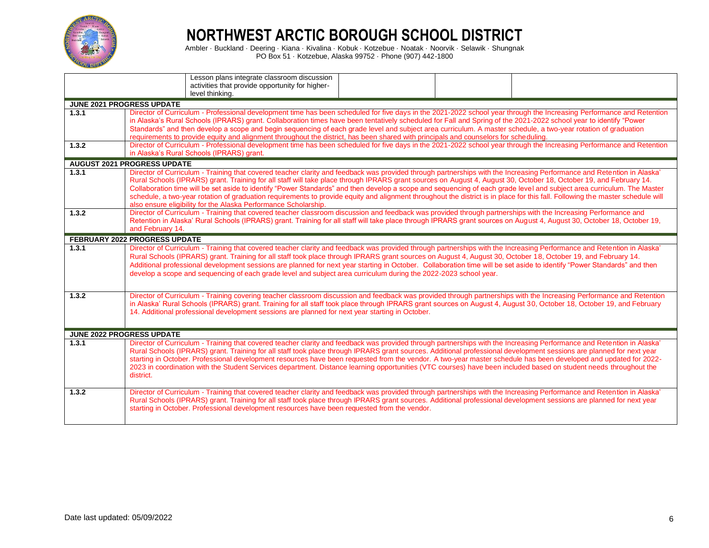

|                                  | Lesson plans integrate classroom discussion<br>activities that provide opportunity for higher-<br>level thinking.                                                                                                                                                                                                                                                                                                                                                                                                                                                                                                                                                                                                                                                           |  |  |  |  |  |
|----------------------------------|-----------------------------------------------------------------------------------------------------------------------------------------------------------------------------------------------------------------------------------------------------------------------------------------------------------------------------------------------------------------------------------------------------------------------------------------------------------------------------------------------------------------------------------------------------------------------------------------------------------------------------------------------------------------------------------------------------------------------------------------------------------------------------|--|--|--|--|--|
| JUNE 2021 PROGRESS UPDATE        |                                                                                                                                                                                                                                                                                                                                                                                                                                                                                                                                                                                                                                                                                                                                                                             |  |  |  |  |  |
| 1.3.1                            | Director of Curriculum - Professional development time has been scheduled for five days in the 2021-2022 school year through the Increasing Performance and Retention<br>in Alaska's Rural Schools (IPRARS) grant. Collaboration times have been tentatively scheduled for Fall and Spring of the 2021-2022 school year to identify "Power<br>Standards" and then develop a scope and begin sequencing of each grade level and subject area curriculum. A master schedule, a two-year rotation of graduation<br>requirements to provide equity and alignment throughout the district, has been shared with principals and counselors for scheduling.                                                                                                                        |  |  |  |  |  |
| 1.3.2                            | Director of Curriculum - Professional development time has been scheduled for five days in the 2021-2022 school year through the Increasing Performance and Retention<br>in Alaska's Rural Schools (IPRARS) grant.                                                                                                                                                                                                                                                                                                                                                                                                                                                                                                                                                          |  |  |  |  |  |
|                                  | <b>AUGUST 2021 PROGRESS UPDATE</b>                                                                                                                                                                                                                                                                                                                                                                                                                                                                                                                                                                                                                                                                                                                                          |  |  |  |  |  |
| 1.3.1                            | Director of Curriculum - Training that covered teacher clarity and feedback was provided through partnerships with the Increasing Performance and Retention in Alaska'<br>Rural Schools (IPRARS) grant. Training for all staff will take place through IPRARS grant sources on August 4, August 30, October 18, October 19, and February 14.<br>Collaboration time will be set aside to identify "Power Standards" and then develop a scope and sequencing of each grade level and subject area curriculum. The Master<br>schedule, a two-year rotation of graduation requirements to provide equity and alignment throughout the district is in place for this fall. Following the master schedule will<br>also ensure eligibility for the Alaska Performance Scholarship. |  |  |  |  |  |
| 1.3.2                            | Director of Curriculum - Training that covered teacher classroom discussion and feedback was provided through partnerships with the Increasing Performance and<br>Retention in Alaska' Rural Schools (IPRARS) grant. Training for all staff will take place through IPRARS grant sources on August 4, August 30, October 18, October 19,<br>and February 14.                                                                                                                                                                                                                                                                                                                                                                                                                |  |  |  |  |  |
|                                  | <b>FEBRUARY 2022 PROGRESS UPDATE</b>                                                                                                                                                                                                                                                                                                                                                                                                                                                                                                                                                                                                                                                                                                                                        |  |  |  |  |  |
| 1.3.1                            | Director of Curriculum - Training that covered teacher clarity and feedback was provided through partnerships with the Increasing Performance and Retention in Alaska'<br>Rural Schools (IPRARS) grant. Training for all staff took place through IPRARS grant sources on August 4, August 30, October 18, October 19, and February 14.<br>Additional professional development sessions are planned for next year starting in October. Collaboration time will be set aside to identify "Power Standards" and then<br>develop a scope and sequencing of each grade level and subject area curriculum during the 2022-2023 school year.                                                                                                                                      |  |  |  |  |  |
| 1.3.2                            | Director of Curriculum - Training covering teacher classroom discussion and feedback was provided through partnerships with the Increasing Performance and Retention<br>in Alaska' Rural Schools (IPRARS) grant. Training for all staff took place through IPRARS grant sources on August 4, August 30, October 18, October 19, and February<br>14. Additional professional development sessions are planned for next year starting in October.                                                                                                                                                                                                                                                                                                                             |  |  |  |  |  |
| <b>JUNE 2022 PROGRESS UPDATE</b> |                                                                                                                                                                                                                                                                                                                                                                                                                                                                                                                                                                                                                                                                                                                                                                             |  |  |  |  |  |
| 1.3.1                            | Director of Curriculum - Training that covered teacher clarity and feedback was provided through partnerships with the Increasing Performance and Retention in Alaska'<br>Rural Schools (IPRARS) grant. Training for all staff took place through IPRARS grant sources. Additional professional development sessions are planned for next year<br>starting in October. Professional development resources have been requested from the vendor. A two-year master schedule has been developed and updated for 2022-<br>2023 in coordination with the Student Services department. Distance learning opportunities (VTC courses) have been included based on student needs throughout the<br>district.                                                                        |  |  |  |  |  |
| 1.3.2                            | Director of Curriculum - Training that covered teacher clarity and feedback was provided through partnerships with the Increasing Performance and Retention in Alaska'<br>Rural Schools (IPRARS) grant. Training for all staff took place through IPRARS grant sources. Additional professional development sessions are planned for next year<br>starting in October. Professional development resources have been requested from the vendor.                                                                                                                                                                                                                                                                                                                              |  |  |  |  |  |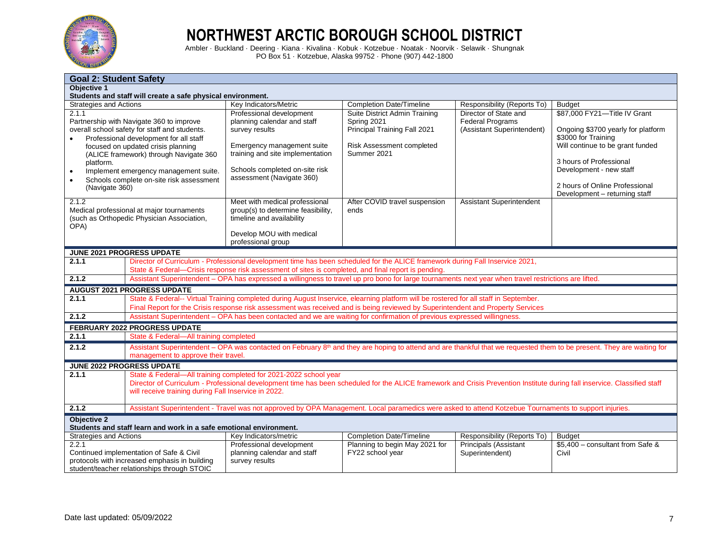

|                                                                                                                                                                                                                                                                                                                                                               | <b>Goal 2: Student Safety</b>                                                                                                                                                                                                                                                                         |                                                                                                                                                                                                                                                                          |                                                                                                                          |                                                                                |                                                                                                                                                                                                                                                        |  |
|---------------------------------------------------------------------------------------------------------------------------------------------------------------------------------------------------------------------------------------------------------------------------------------------------------------------------------------------------------------|-------------------------------------------------------------------------------------------------------------------------------------------------------------------------------------------------------------------------------------------------------------------------------------------------------|--------------------------------------------------------------------------------------------------------------------------------------------------------------------------------------------------------------------------------------------------------------------------|--------------------------------------------------------------------------------------------------------------------------|--------------------------------------------------------------------------------|--------------------------------------------------------------------------------------------------------------------------------------------------------------------------------------------------------------------------------------------------------|--|
| Objective 1                                                                                                                                                                                                                                                                                                                                                   |                                                                                                                                                                                                                                                                                                       |                                                                                                                                                                                                                                                                          |                                                                                                                          |                                                                                |                                                                                                                                                                                                                                                        |  |
|                                                                                                                                                                                                                                                                                                                                                               | Students and staff will create a safe physical environment.                                                                                                                                                                                                                                           |                                                                                                                                                                                                                                                                          |                                                                                                                          |                                                                                |                                                                                                                                                                                                                                                        |  |
| <b>Strategies and Actions</b>                                                                                                                                                                                                                                                                                                                                 |                                                                                                                                                                                                                                                                                                       | Key Indicators/Metric                                                                                                                                                                                                                                                    | <b>Completion Date/Timeline</b>                                                                                          | Responsibility (Reports To)                                                    | <b>Budget</b>                                                                                                                                                                                                                                          |  |
| 2.1.1<br>Partnership with Navigate 360 to improve<br>overall school safety for staff and students.<br>Professional development for all staff<br>focused on updated crisis planning<br>(ALICE framework) through Navigate 360<br>platform.<br>Implement emergency management suite.<br>$\bullet$<br>Schools complete on-site risk assessment<br>(Navigate 360) |                                                                                                                                                                                                                                                                                                       | Professional development<br>planning calendar and staff<br>survey results<br>Emergency management suite<br>training and site implementation<br>Schools completed on-site risk<br>assessment (Navigate 360)                                                               | Suite District Admin Training<br>Spring 2021<br>Principal Training Fall 2021<br>Risk Assessment completed<br>Summer 2021 | Director of State and<br><b>Federal Programs</b><br>(Assistant Superintendent) | \$87,000 FY21-Title IV Grant<br>Ongoing \$3700 yearly for platform<br>\$3000 for Training<br>Will continue to be grant funded<br>3 hours of Professional<br>Development - new staff<br>2 hours of Online Professional<br>Development - returning staff |  |
| 2.1.2<br>Medical professional at major tournaments<br>(such as Orthopedic Physician Association,<br>OPA)                                                                                                                                                                                                                                                      |                                                                                                                                                                                                                                                                                                       | Meet with medical professional<br>group(s) to determine feasibility,<br>timeline and availability<br>Develop MOU with medical<br>professional group                                                                                                                      | After COVID travel suspension<br>ends                                                                                    | <b>Assistant Superintendent</b>                                                |                                                                                                                                                                                                                                                        |  |
|                                                                                                                                                                                                                                                                                                                                                               | JUNE 2021 PROGRESS UPDATE                                                                                                                                                                                                                                                                             |                                                                                                                                                                                                                                                                          |                                                                                                                          |                                                                                |                                                                                                                                                                                                                                                        |  |
| 2.1.1                                                                                                                                                                                                                                                                                                                                                         |                                                                                                                                                                                                                                                                                                       | Director of Curriculum - Professional development time has been scheduled for the ALICE framework during Fall Inservice 2021,                                                                                                                                            |                                                                                                                          |                                                                                |                                                                                                                                                                                                                                                        |  |
|                                                                                                                                                                                                                                                                                                                                                               |                                                                                                                                                                                                                                                                                                       | State & Federal-Crisis response risk assessment of sites is completed, and final report is pending.                                                                                                                                                                      |                                                                                                                          |                                                                                |                                                                                                                                                                                                                                                        |  |
| 2.1.2                                                                                                                                                                                                                                                                                                                                                         |                                                                                                                                                                                                                                                                                                       | Assistant Superintendent - OPA has expressed a willingness to travel up pro bono for large tournaments next year when travel restrictions are lifted.                                                                                                                    |                                                                                                                          |                                                                                |                                                                                                                                                                                                                                                        |  |
|                                                                                                                                                                                                                                                                                                                                                               | <b>AUGUST 2021 PROGRESS UPDATE</b>                                                                                                                                                                                                                                                                    |                                                                                                                                                                                                                                                                          |                                                                                                                          |                                                                                |                                                                                                                                                                                                                                                        |  |
| 2.1.1                                                                                                                                                                                                                                                                                                                                                         |                                                                                                                                                                                                                                                                                                       | State & Federal-- Virtual Training completed during August Inservice, elearning platform will be rostered for all staff in September.<br>Final Report for the Crisis response risk assessment was received and is being reviewed by Superintendent and Property Services |                                                                                                                          |                                                                                |                                                                                                                                                                                                                                                        |  |
| 2.1.2                                                                                                                                                                                                                                                                                                                                                         |                                                                                                                                                                                                                                                                                                       | Assistant Superintendent - OPA has been contacted and we are waiting for confirmation of previous expressed willingness.                                                                                                                                                 |                                                                                                                          |                                                                                |                                                                                                                                                                                                                                                        |  |
|                                                                                                                                                                                                                                                                                                                                                               | <b>FEBRUARY 2022 PROGRESS UPDATE</b>                                                                                                                                                                                                                                                                  |                                                                                                                                                                                                                                                                          |                                                                                                                          |                                                                                |                                                                                                                                                                                                                                                        |  |
| 2.1.1                                                                                                                                                                                                                                                                                                                                                         | State & Federal-All training completed                                                                                                                                                                                                                                                                |                                                                                                                                                                                                                                                                          |                                                                                                                          |                                                                                |                                                                                                                                                                                                                                                        |  |
| 2.1.2                                                                                                                                                                                                                                                                                                                                                         | management to approve their travel.                                                                                                                                                                                                                                                                   | Assistant Superintendent – OPA was contacted on February 8 <sup>th</sup> and they are hoping to attend and are thankful that we requested them to be present. They are waiting for                                                                                       |                                                                                                                          |                                                                                |                                                                                                                                                                                                                                                        |  |
|                                                                                                                                                                                                                                                                                                                                                               | <b>JUNE 2022 PROGRESS UPDATE</b>                                                                                                                                                                                                                                                                      |                                                                                                                                                                                                                                                                          |                                                                                                                          |                                                                                |                                                                                                                                                                                                                                                        |  |
| 2.1.1                                                                                                                                                                                                                                                                                                                                                         | State & Federal-All training completed for 2021-2022 school year<br>Director of Curriculum - Professional development time has been scheduled for the ALICE framework and Crisis Prevention Institute during fall inservice. Classified staff<br>will receive training during Fall Inservice in 2022. |                                                                                                                                                                                                                                                                          |                                                                                                                          |                                                                                |                                                                                                                                                                                                                                                        |  |
| 2.1.2                                                                                                                                                                                                                                                                                                                                                         |                                                                                                                                                                                                                                                                                                       | Assistant Superintendent - Travel was not approved by OPA Management. Local paramedics were asked to attend Kotzebue Tournaments to support injuries.                                                                                                                    |                                                                                                                          |                                                                                |                                                                                                                                                                                                                                                        |  |
| <b>Objective 2</b>                                                                                                                                                                                                                                                                                                                                            | Students and staff learn and work in a safe emotional environment.                                                                                                                                                                                                                                    |                                                                                                                                                                                                                                                                          |                                                                                                                          |                                                                                |                                                                                                                                                                                                                                                        |  |
| <b>Strategies and Actions</b>                                                                                                                                                                                                                                                                                                                                 |                                                                                                                                                                                                                                                                                                       | Key Indicators/metric                                                                                                                                                                                                                                                    | <b>Completion Date/Timeline</b>                                                                                          | Responsibility (Reports To)                                                    | <b>Budget</b>                                                                                                                                                                                                                                          |  |
| 2.2.1                                                                                                                                                                                                                                                                                                                                                         | Continued implementation of Safe & Civil<br>protocols with increased emphasis in building<br>student/teacher relationships through STOIC                                                                                                                                                              | Professional development<br>planning calendar and staff<br>survey results                                                                                                                                                                                                | Planning to begin May 2021 for<br>FY22 school year                                                                       | Principals (Assistant<br>Superintendent)                                       | \$5,400 - consultant from Safe &<br>Civil                                                                                                                                                                                                              |  |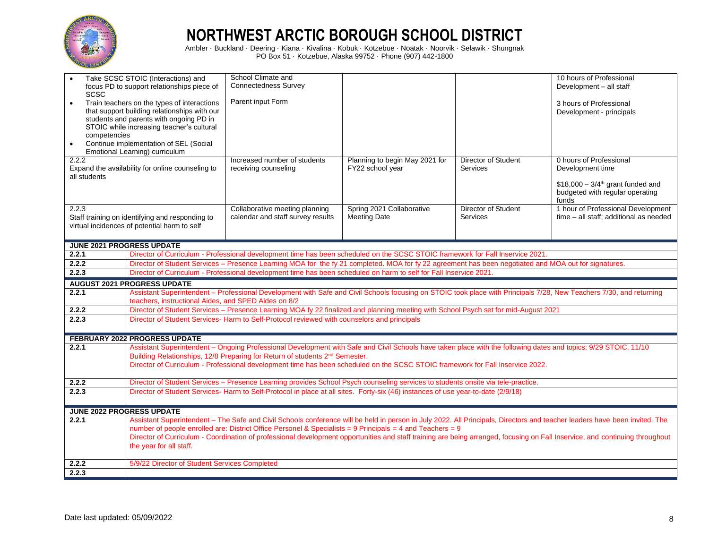

| <b>SCSC</b><br>$\bullet$<br>competencies<br>$\bullet$<br>2.2.2<br>all students | Take SCSC STOIC (Interactions) and<br>focus PD to support relationships piece of<br>Train teachers on the types of interactions<br>that support building relationships with our<br>students and parents with ongoing PD in<br>STOIC while increasing teacher's cultural<br>Continue implementation of SEL (Social<br>Emotional Learning) curriculum<br>Expand the availability for online counseling to | School Climate and<br><b>Connectedness Survey</b><br>Parent input Form<br>Increased number of students<br>receiving counseling                                      | Planning to begin May 2021 for<br>FY22 school year | <b>Director of Student</b><br><b>Services</b> | 10 hours of Professional<br>Development - all staff<br>3 hours of Professional<br>Development - principals<br>0 hours of Professional<br>Development time<br>$$18,000 - 3/4th$ grant funded and<br>budgeted with regular operating |
|--------------------------------------------------------------------------------|---------------------------------------------------------------------------------------------------------------------------------------------------------------------------------------------------------------------------------------------------------------------------------------------------------------------------------------------------------------------------------------------------------|---------------------------------------------------------------------------------------------------------------------------------------------------------------------|----------------------------------------------------|-----------------------------------------------|------------------------------------------------------------------------------------------------------------------------------------------------------------------------------------------------------------------------------------|
| 2.2.3                                                                          | Staff training on identifying and responding to<br>virtual incidences of potential harm to self                                                                                                                                                                                                                                                                                                         | Collaborative meeting planning<br>calendar and staff survey results                                                                                                 | Spring 2021 Collaborative<br>Meeting Date          | Director of Student<br><b>Services</b>        | funds<br>1 hour of Professional Development<br>time - all staff; additional as needed                                                                                                                                              |
| <b>JUNE 2021 PROGRESS UPDATE</b>                                               |                                                                                                                                                                                                                                                                                                                                                                                                         |                                                                                                                                                                     |                                                    |                                               |                                                                                                                                                                                                                                    |
| 2.2.1                                                                          |                                                                                                                                                                                                                                                                                                                                                                                                         | Director of Curriculum - Professional development time has been scheduled on the SCSC STOIC framework for Fall Inservice 2021.                                      |                                                    |                                               |                                                                                                                                                                                                                                    |
| 2.2.2                                                                          |                                                                                                                                                                                                                                                                                                                                                                                                         | Director of Student Services - Presence Learning MOA for the fy 21 completed. MOA for fy 22 agreement has been negotiated and MOA out for signatures.               |                                                    |                                               |                                                                                                                                                                                                                                    |
| 2.2.3                                                                          |                                                                                                                                                                                                                                                                                                                                                                                                         | Director of Curriculum - Professional development time has been scheduled on harm to self for Fall Inservice 2021.                                                  |                                                    |                                               |                                                                                                                                                                                                                                    |
|                                                                                | <b>AUGUST 2021 PROGRESS UPDATE</b>                                                                                                                                                                                                                                                                                                                                                                      |                                                                                                                                                                     |                                                    |                                               |                                                                                                                                                                                                                                    |
| 2.2.1                                                                          | teachers, instructional Aides, and SPED Aides on 8/2                                                                                                                                                                                                                                                                                                                                                    | Assistant Superintendent - Professional Development with Safe and Civil Schools focusing on STOIC took place with Principals 7/28, New Teachers 7/30, and returning |                                                    |                                               |                                                                                                                                                                                                                                    |
| 2.2.2                                                                          |                                                                                                                                                                                                                                                                                                                                                                                                         | Director of Student Services - Presence Learning MOA fy 22 finalized and planning meeting with School Psych set for mid-August 2021                                 |                                                    |                                               |                                                                                                                                                                                                                                    |
| 2.2.3                                                                          |                                                                                                                                                                                                                                                                                                                                                                                                         | Director of Student Services-Harm to Self-Protocol reviewed with counselors and principals                                                                          |                                                    |                                               |                                                                                                                                                                                                                                    |
|                                                                                | <b>FEBRUARY 2022 PROGRESS UPDATE</b>                                                                                                                                                                                                                                                                                                                                                                    |                                                                                                                                                                     |                                                    |                                               |                                                                                                                                                                                                                                    |
| 2.2.1                                                                          |                                                                                                                                                                                                                                                                                                                                                                                                         | Assistant Superintendent - Ongoing Professional Development with Safe and Civil Schools have taken place with the following dates and topics; 9/29 STOIC, 11/10     |                                                    |                                               |                                                                                                                                                                                                                                    |
|                                                                                |                                                                                                                                                                                                                                                                                                                                                                                                         | Building Relationships, 12/8 Preparing for Return of students 2 <sup>nd</sup> Semester.                                                                             |                                                    |                                               |                                                                                                                                                                                                                                    |
|                                                                                |                                                                                                                                                                                                                                                                                                                                                                                                         | Director of Curriculum - Professional development time has been scheduled on the SCSC STOIC framework for Fall Inservice 2022.                                      |                                                    |                                               |                                                                                                                                                                                                                                    |
| 2.2.2                                                                          |                                                                                                                                                                                                                                                                                                                                                                                                         | Director of Student Services - Presence Learning provides School Psych counseling services to students onsite via tele-practice.                                    |                                                    |                                               |                                                                                                                                                                                                                                    |
| 2.2.3                                                                          |                                                                                                                                                                                                                                                                                                                                                                                                         | Director of Student Services-Harm to Self-Protocol in place at all sites. Forty-six (46) instances of use year-to-date (2/9/18)                                     |                                                    |                                               |                                                                                                                                                                                                                                    |
|                                                                                | <b>JUNE 2022 PROGRESS UPDATE</b>                                                                                                                                                                                                                                                                                                                                                                        |                                                                                                                                                                     |                                                    |                                               |                                                                                                                                                                                                                                    |
| 2.2.1                                                                          |                                                                                                                                                                                                                                                                                                                                                                                                         |                                                                                                                                                                     |                                                    |                                               | Assistant Superintendent - The Safe and Civil Schools conference will be held in person in July 2022. All Principals, Directors and teacher leaders have been invited. The                                                         |
|                                                                                |                                                                                                                                                                                                                                                                                                                                                                                                         | number of people enrolled are: District Office Personel & Specialists = 9 Principals = 4 and Teachers = 9                                                           |                                                    |                                               |                                                                                                                                                                                                                                    |
|                                                                                | the year for all staff.                                                                                                                                                                                                                                                                                                                                                                                 |                                                                                                                                                                     |                                                    |                                               | Director of Curriculum - Coordination of professional development opportunities and staff training are being arranged, focusing on Fall Inservice, and continuing throughout                                                       |
| 2.2.2                                                                          | 5/9/22 Director of Student Services Completed                                                                                                                                                                                                                                                                                                                                                           |                                                                                                                                                                     |                                                    |                                               |                                                                                                                                                                                                                                    |
| 2.2.3                                                                          |                                                                                                                                                                                                                                                                                                                                                                                                         |                                                                                                                                                                     |                                                    |                                               |                                                                                                                                                                                                                                    |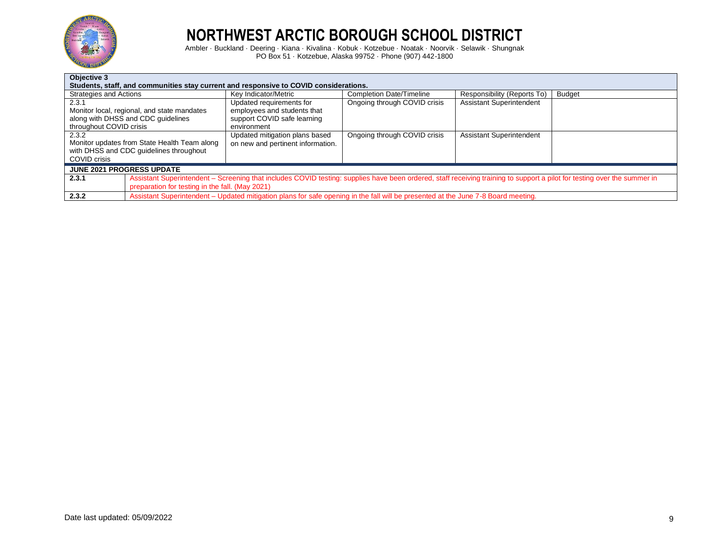

| Objective 3                                                                           |                                                                                                                                                                          |                                 |                                 |               |  |  |
|---------------------------------------------------------------------------------------|--------------------------------------------------------------------------------------------------------------------------------------------------------------------------|---------------------------------|---------------------------------|---------------|--|--|
| Students, staff, and communities stay current and responsive to COVID considerations. |                                                                                                                                                                          |                                 |                                 |               |  |  |
| Strategies and Actions                                                                | Kev Indicator/Metric                                                                                                                                                     | <b>Completion Date/Timeline</b> | Responsibility (Reports To)     | <b>Budget</b> |  |  |
| 2.3.1                                                                                 | Updated requirements for                                                                                                                                                 | Ongoing through COVID crisis    | <b>Assistant Superintendent</b> |               |  |  |
| Monitor local, regional, and state mandates                                           | employees and students that                                                                                                                                              |                                 |                                 |               |  |  |
| along with DHSS and CDC quidelines                                                    | support COVID safe learning                                                                                                                                              |                                 |                                 |               |  |  |
| throughout COVID crisis                                                               | environment                                                                                                                                                              |                                 |                                 |               |  |  |
| 2.3.2                                                                                 | Updated mitigation plans based                                                                                                                                           | Ongoing through COVID crisis    | <b>Assistant Superintendent</b> |               |  |  |
| Monitor updates from State Health Team along                                          | on new and pertinent information.                                                                                                                                        |                                 |                                 |               |  |  |
| with DHSS and CDC guidelines throughout                                               |                                                                                                                                                                          |                                 |                                 |               |  |  |
| COVID crisis                                                                          |                                                                                                                                                                          |                                 |                                 |               |  |  |
| <b>JUNE 2021 PROGRESS UPDATE</b>                                                      |                                                                                                                                                                          |                                 |                                 |               |  |  |
| 2.3.1                                                                                 | Assistant Superintendent – Screening that includes COVID testing: supplies have been ordered, staff receiving training to support a pilot for testing over the summer in |                                 |                                 |               |  |  |
|                                                                                       | preparation for testing in the fall. (May 2021)                                                                                                                          |                                 |                                 |               |  |  |
| 2.3.2                                                                                 | Assistant Superintendent - Updated mitigation plans for safe opening in the fall will be presented at the June 7-8 Board meeting.                                        |                                 |                                 |               |  |  |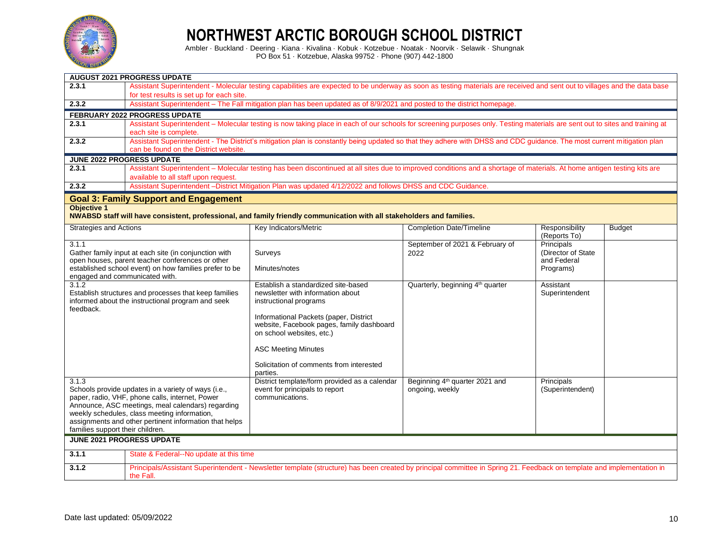

|                                  | <b>AUGUST 2021 PROGRESS UPDATE</b>                                                                                       |                                                                                                                                                                              |                                              |                                |               |  |  |  |  |
|----------------------------------|--------------------------------------------------------------------------------------------------------------------------|------------------------------------------------------------------------------------------------------------------------------------------------------------------------------|----------------------------------------------|--------------------------------|---------------|--|--|--|--|
| 2.3.1                            |                                                                                                                          | Assistant Superintendent - Molecular testing capabilities are expected to be underway as soon as testing materials are received and sent out to villages and the data base   |                                              |                                |               |  |  |  |  |
|                                  | for test results is set up for each site.                                                                                |                                                                                                                                                                              |                                              |                                |               |  |  |  |  |
| 2.3.2                            | Assistant Superintendent - The Fall mitigation plan has been updated as of 8/9/2021 and posted to the district homepage. |                                                                                                                                                                              |                                              |                                |               |  |  |  |  |
|                                  | FEBRUARY 2022 PROGRESS UPDATE                                                                                            |                                                                                                                                                                              |                                              |                                |               |  |  |  |  |
| 2.3.1                            |                                                                                                                          | Assistant Superintendent - Molecular testing is now taking place in each of our schools for screening purposes only. Testing materials are sent out to sites and training at |                                              |                                |               |  |  |  |  |
|                                  | each site is complete.                                                                                                   |                                                                                                                                                                              |                                              |                                |               |  |  |  |  |
| 2.3.2                            |                                                                                                                          | Assistant Superintendent - The District's mitigation plan is constantly being updated so that they adhere with DHSS and CDC guidance. The most current mitigation plan       |                                              |                                |               |  |  |  |  |
|                                  | can be found on the District website.                                                                                    |                                                                                                                                                                              |                                              |                                |               |  |  |  |  |
|                                  | <b>JUNE 2022 PROGRESS UPDATE</b>                                                                                         |                                                                                                                                                                              |                                              |                                |               |  |  |  |  |
| 2.3.1                            |                                                                                                                          | Assistant Superintendent - Molecular testing has been discontinued at all sites due to improved conditions and a shortage of materials. At home antigen testing kits are     |                                              |                                |               |  |  |  |  |
| 2.3.2                            | available to all staff upon request.                                                                                     | Assistant Superintendent -District Mitigation Plan was updated 4/12/2022 and follows DHSS and CDC Guidance.                                                                  |                                              |                                |               |  |  |  |  |
|                                  |                                                                                                                          |                                                                                                                                                                              |                                              |                                |               |  |  |  |  |
|                                  | <b>Goal 3: Family Support and Engagement</b>                                                                             |                                                                                                                                                                              |                                              |                                |               |  |  |  |  |
| <b>Objective 1</b>               |                                                                                                                          | NWABSD staff will have consistent, professional, and family friendly communication with all stakeholders and families.                                                       |                                              |                                |               |  |  |  |  |
|                                  |                                                                                                                          |                                                                                                                                                                              |                                              |                                |               |  |  |  |  |
| <b>Strategies and Actions</b>    |                                                                                                                          | Key Indicators/Metric                                                                                                                                                        | <b>Completion Date/Timeline</b>              | Responsibility<br>(Reports To) | <b>Budget</b> |  |  |  |  |
| 3.1.1                            |                                                                                                                          |                                                                                                                                                                              | September of 2021 & February of              | Principals                     |               |  |  |  |  |
|                                  | Gather family input at each site (in conjunction with                                                                    | Surveys                                                                                                                                                                      | 2022                                         | (Director of State)            |               |  |  |  |  |
|                                  | open houses, parent teacher conferences or other<br>established school event) on how families prefer to be               | Minutes/notes                                                                                                                                                                |                                              | and Federal<br>Programs)       |               |  |  |  |  |
| engaged and communicated with.   |                                                                                                                          |                                                                                                                                                                              |                                              |                                |               |  |  |  |  |
| $3.1.\overline{2}$               |                                                                                                                          | Establish a standardized site-based                                                                                                                                          | Quarterly, beginning 4 <sup>th</sup> quarter | Assistant                      |               |  |  |  |  |
|                                  | Establish structures and processes that keep families                                                                    | newsletter with information about                                                                                                                                            |                                              | Superintendent                 |               |  |  |  |  |
| feedback.                        | informed about the instructional program and seek                                                                        | instructional programs                                                                                                                                                       |                                              |                                |               |  |  |  |  |
|                                  |                                                                                                                          | Informational Packets (paper, District                                                                                                                                       |                                              |                                |               |  |  |  |  |
|                                  |                                                                                                                          | website, Facebook pages, family dashboard                                                                                                                                    |                                              |                                |               |  |  |  |  |
|                                  |                                                                                                                          | on school websites, etc.)                                                                                                                                                    |                                              |                                |               |  |  |  |  |
|                                  |                                                                                                                          | <b>ASC Meeting Minutes</b>                                                                                                                                                   |                                              |                                |               |  |  |  |  |
|                                  |                                                                                                                          | Solicitation of comments from interested                                                                                                                                     |                                              |                                |               |  |  |  |  |
|                                  |                                                                                                                          | parties.                                                                                                                                                                     |                                              |                                |               |  |  |  |  |
| 3.1.3                            |                                                                                                                          | District template/form provided as a calendar                                                                                                                                | Beginning 4 <sup>th</sup> quarter 2021 and   | Principals                     |               |  |  |  |  |
|                                  | Schools provide updates in a variety of ways (i.e.,<br>paper, radio, VHF, phone calls, internet, Power                   | event for principals to report<br>communications.                                                                                                                            | ongoing, weekly                              | (Superintendent)               |               |  |  |  |  |
|                                  | Announce, ASC meetings, meal calendars) regarding                                                                        |                                                                                                                                                                              |                                              |                                |               |  |  |  |  |
|                                  | weekly schedules, class meeting information,                                                                             |                                                                                                                                                                              |                                              |                                |               |  |  |  |  |
|                                  | assignments and other pertinent information that helps                                                                   |                                                                                                                                                                              |                                              |                                |               |  |  |  |  |
| families support their children. |                                                                                                                          |                                                                                                                                                                              |                                              |                                |               |  |  |  |  |
|                                  | <b>JUNE 2021 PROGRESS UPDATE</b>                                                                                         |                                                                                                                                                                              |                                              |                                |               |  |  |  |  |
| 3.1.1                            | State & Federal--No update at this time                                                                                  |                                                                                                                                                                              |                                              |                                |               |  |  |  |  |
| 3.1.2                            | the Fall.                                                                                                                | Principals/Assistant Superintendent - Newsletter template (structure) has been created by principal committee in Spring 21. Feedback on template and implementation in       |                                              |                                |               |  |  |  |  |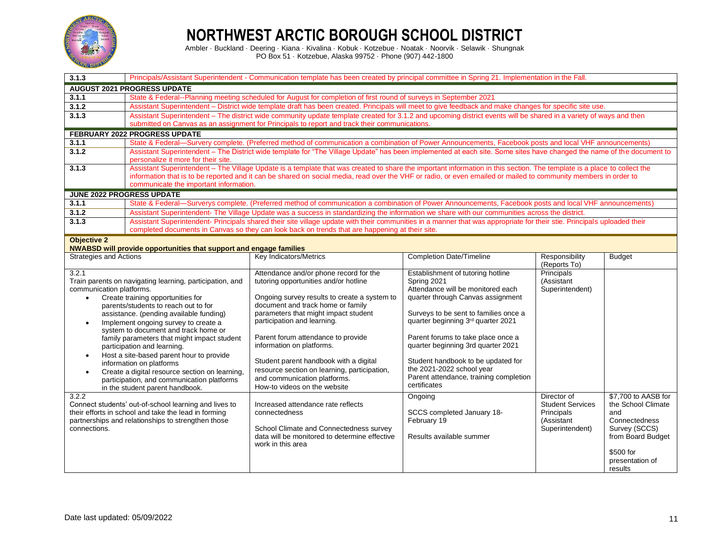

| 3.1.3                         |                                                                                                                   | Principals/Assistant Superintendent - Communication template has been created by principal committee in Spring 21. Implementation in the Fall.                                                                                                                                                                                  |                                                  |                               |                      |  |
|-------------------------------|-------------------------------------------------------------------------------------------------------------------|---------------------------------------------------------------------------------------------------------------------------------------------------------------------------------------------------------------------------------------------------------------------------------------------------------------------------------|--------------------------------------------------|-------------------------------|----------------------|--|
|                               | <b>AUGUST 2021 PROGRESS UPDATE</b>                                                                                |                                                                                                                                                                                                                                                                                                                                 |                                                  |                               |                      |  |
| 3.1.1                         | State & Federal--Planning meeting scheduled for August for completion of first round of surveys in September 2021 |                                                                                                                                                                                                                                                                                                                                 |                                                  |                               |                      |  |
| 3.1.2                         |                                                                                                                   | Assistant Superintendent - District wide template draft has been created. Principals will meet to give feedback and make changes for specific site use.                                                                                                                                                                         |                                                  |                               |                      |  |
| 3.1.3                         |                                                                                                                   | Assistant Superintendent - The district wide community update template created for 3.1.2 and upcoming district events will be shared in a variety of ways and then                                                                                                                                                              |                                                  |                               |                      |  |
|                               |                                                                                                                   | submitted on Canvas as an assignment for Principals to report and track their communications.                                                                                                                                                                                                                                   |                                                  |                               |                      |  |
|                               | <b>FEBRUARY 2022 PROGRESS UPDATE</b>                                                                              |                                                                                                                                                                                                                                                                                                                                 |                                                  |                               |                      |  |
| 3.1.1<br>3.1.2                |                                                                                                                   | State & Federal—Survery complete. (Preferred method of communication a combination of Power Announcements, Facebook posts and local VHF announcements)<br>Assistant Superintendent - The District wide template for "The Village Update" has been implemented at each site. Some sites have changed the name of the document to |                                                  |                               |                      |  |
|                               | personalize it more for their site.                                                                               |                                                                                                                                                                                                                                                                                                                                 |                                                  |                               |                      |  |
| 3.1.3                         |                                                                                                                   | Assistant Superintendent - The Village Update is a template that was created to share the important information in this section. The template is a place to collect the                                                                                                                                                         |                                                  |                               |                      |  |
|                               |                                                                                                                   | information that is to be reported and it can be shared on social media, read over the VHF or radio, or even emailed or mailed to community members in order to                                                                                                                                                                 |                                                  |                               |                      |  |
|                               | communicate the important information.                                                                            |                                                                                                                                                                                                                                                                                                                                 |                                                  |                               |                      |  |
|                               | <b>JUNE 2022 PROGRESS UPDATE</b>                                                                                  |                                                                                                                                                                                                                                                                                                                                 |                                                  |                               |                      |  |
| 3.1.1                         |                                                                                                                   | State & Federal—Surverys complete. (Preferred method of communication a combination of Power Announcements, Facebook posts and local VHF announcements)                                                                                                                                                                         |                                                  |                               |                      |  |
| 3.1.2                         |                                                                                                                   | Assistant Superintendent-The Village Update was a success in standardizing the information we share with our communities across the district.                                                                                                                                                                                   |                                                  |                               |                      |  |
| 3.1.3                         |                                                                                                                   | Assistant Superintendent- Principals shared their site village update with their communities in a manner that was appropriate for their stie. Principals uploaded their<br>completed documents in Canvas so they can look back on trends that are happening at their site.                                                      |                                                  |                               |                      |  |
| <b>Objective 2</b>            |                                                                                                                   |                                                                                                                                                                                                                                                                                                                                 |                                                  |                               |                      |  |
|                               | <b>NWABSD will provide opportunities that support and engage families</b>                                         |                                                                                                                                                                                                                                                                                                                                 |                                                  |                               |                      |  |
| <b>Strategies and Actions</b> |                                                                                                                   | Key Indicators/Metrics                                                                                                                                                                                                                                                                                                          | <b>Completion Date/Timeline</b>                  | Responsibility                | <b>Budget</b>        |  |
|                               |                                                                                                                   |                                                                                                                                                                                                                                                                                                                                 |                                                  | (Reports To)                  |                      |  |
| 3.2.1                         |                                                                                                                   | Attendance and/or phone record for the                                                                                                                                                                                                                                                                                          | Establishment of tutoring hotline                | Principals                    |                      |  |
| communication platforms.      | Train parents on navigating learning, participation, and                                                          | tutoring opportunities and/or hotline                                                                                                                                                                                                                                                                                           | Spring 2021<br>Attendance will be monitored each | (Assistant<br>Superintendent) |                      |  |
| $\bullet$                     | Create training opportunities for                                                                                 | Ongoing survey results to create a system to                                                                                                                                                                                                                                                                                    | quarter through Canvas assignment                |                               |                      |  |
|                               | parents/students to reach out to for                                                                              | document and track home or family                                                                                                                                                                                                                                                                                               |                                                  |                               |                      |  |
|                               | assistance. (pending available funding)                                                                           | parameters that might impact student                                                                                                                                                                                                                                                                                            | Surveys to be sent to families once a            |                               |                      |  |
| $\bullet$                     | Implement ongoing survey to create a                                                                              | participation and learning.                                                                                                                                                                                                                                                                                                     | quarter beginning 3rd quarter 2021               |                               |                      |  |
|                               | system to document and track home or                                                                              | Parent forum attendance to provide                                                                                                                                                                                                                                                                                              | Parent forums to take place once a               |                               |                      |  |
|                               | family parameters that might impact student                                                                       | information on platforms.                                                                                                                                                                                                                                                                                                       | quarter beginning 3rd quarter 2021               |                               |                      |  |
| $\bullet$                     | participation and learning.<br>Host a site-based parent hour to provide                                           |                                                                                                                                                                                                                                                                                                                                 |                                                  |                               |                      |  |
|                               | information on platforms                                                                                          | Student parent handbook with a digital                                                                                                                                                                                                                                                                                          | Student handbook to be updated for               |                               |                      |  |
| $\bullet$                     | Create a digital resource section on learning,                                                                    | resource section on learning, participation,                                                                                                                                                                                                                                                                                    | the 2021-2022 school year                        |                               |                      |  |
|                               | participation, and communication platforms                                                                        | and communication platforms.                                                                                                                                                                                                                                                                                                    | Parent attendance, training completion           |                               |                      |  |
|                               | in the student parent handbook.                                                                                   | How-to videos on the website                                                                                                                                                                                                                                                                                                    | certificates                                     |                               |                      |  |
| 3.2.2                         |                                                                                                                   |                                                                                                                                                                                                                                                                                                                                 | Ongoing                                          | Director of                   | \$7,700 to AASB for  |  |
|                               | Connect students' out-of-school learning and lives to                                                             | Increased attendance rate reflects                                                                                                                                                                                                                                                                                              |                                                  | <b>Student Services</b>       | the School Climate   |  |
|                               | their efforts in school and take the lead in forming<br>partnerships and relationships to strengthen those        | connectedness                                                                                                                                                                                                                                                                                                                   | SCCS completed January 18-<br>February 19        | Principals<br>(Assistant      | and<br>Connectedness |  |
| connections.                  |                                                                                                                   | School Climate and Connectedness survey                                                                                                                                                                                                                                                                                         |                                                  | Superintendent)               | Survey (SCCS)        |  |
|                               |                                                                                                                   | data will be monitored to determine effective                                                                                                                                                                                                                                                                                   | Results available summer                         |                               | from Board Budget    |  |
|                               |                                                                                                                   | work in this area                                                                                                                                                                                                                                                                                                               |                                                  |                               |                      |  |
|                               |                                                                                                                   |                                                                                                                                                                                                                                                                                                                                 |                                                  |                               | \$500 for            |  |
|                               |                                                                                                                   |                                                                                                                                                                                                                                                                                                                                 |                                                  |                               | presentation of      |  |
|                               |                                                                                                                   |                                                                                                                                                                                                                                                                                                                                 |                                                  |                               | results              |  |